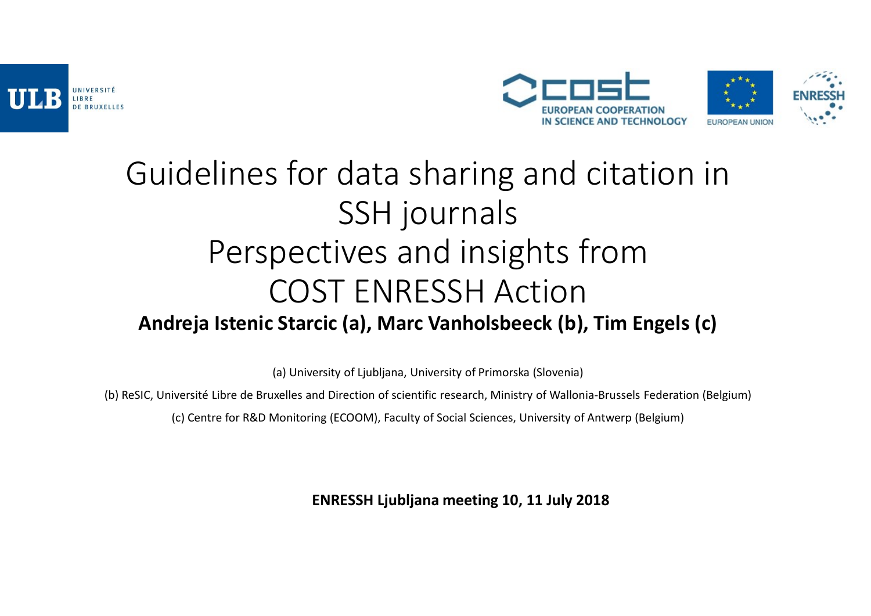



### Guidelines for data sharing and citation in SSH journals Perspectives and insights from COST ENRESSH Action Andreja Istenic Starcic (a), Marc Vanholsbeeck (b), Tim Engels (c) CTIVES AND INSIGHTS Trom<br>ST ENRESSH Action<br>cic (a), Marc Vanholsbeeck (b), Tim Engels (c)<br>ersity of Ljubljana, University of Primorska (Slovenia)<br>and Direction of scientific research, Ministry of Wallonia-Brussels Federati

(a) University of Ljubljana, University of Primorska (Slovenia)

(b) ReSIC, Université Libre de Bruxelles and Direction of scientific research, Ministry of Wallonia-Brussels Federation (Belgium)

(c) Centre for R&D Monitoring (ECOOM), Faculty of Social Sciences, University of Antwerp (Belgium)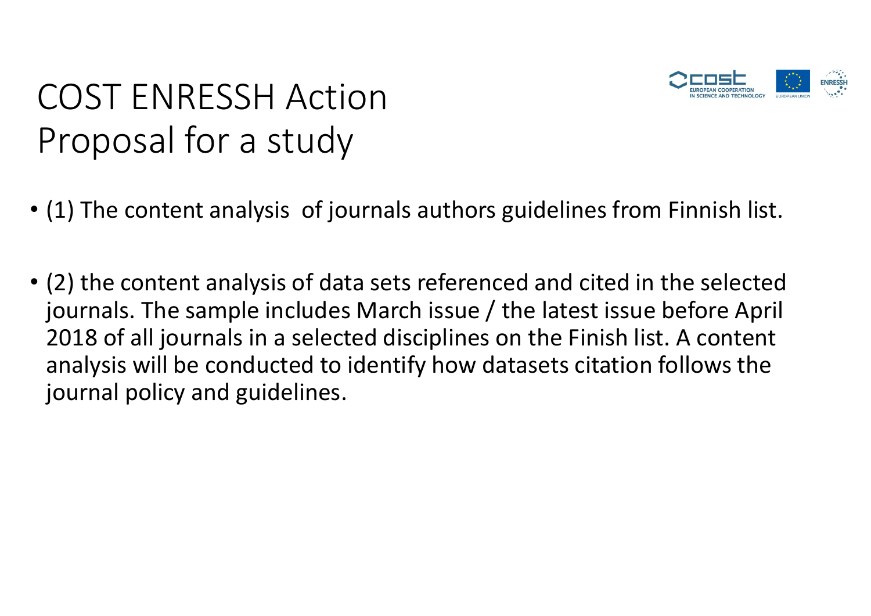

# COST ENRESSH Action COST ENRESSH Action<br>Proposal for a study<br>(1) The content analysis of journals authors guidelir

- (1) The content analysis of journals authors guidelines from Finnish list.
- (2) the content analysis of data sets referenced and cited in the selected journals. The sample includes March issue / the latest issue before April 2022 COST ENRESSH Action<br>
2018 of a study<br>
2019 of a study<br>
2019 of all gournals is of journals authors guidelines from Finnish list.<br>
2018 of all journals in a selected disciplines on the Finish list. A content<br>
2018 of a Proposal for a study<br>
(1) The content analysis of journals authors guidelines from Finnish list.<br>
(2) the content analysis of data sets referenced and cited in the selected<br>
journals. The sample includes March issue / the journal policy and guidelines.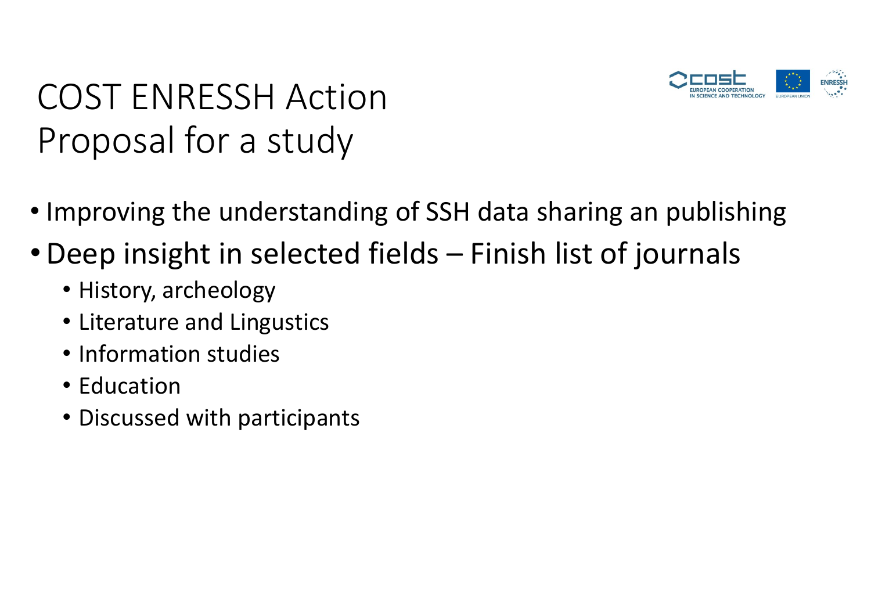

### COST ENRESSH Action COST ENRESSH Action<br>Proposal for a study<br>Improving the understanding of SSH data sha example and the US and the US and the US and the US and the US and the understanding of SSH data sharing an publishing<br>
• Improving the understanding of SSH data sharing an publishing<br>
• History archeology<br>
• History arche COST ENRESSH Action<br>
Proposal for a study<br>
• Improving the understanding of SSH data sharing an publishing<br>
• Deep insight in selected fields – Finish list of journals<br>
• History, archeology<br>
• Literature and Lingustics

- 
- - History, archeology
	- Literature and Lingustics
	- Information studies
	- Education
	- Discussed with participants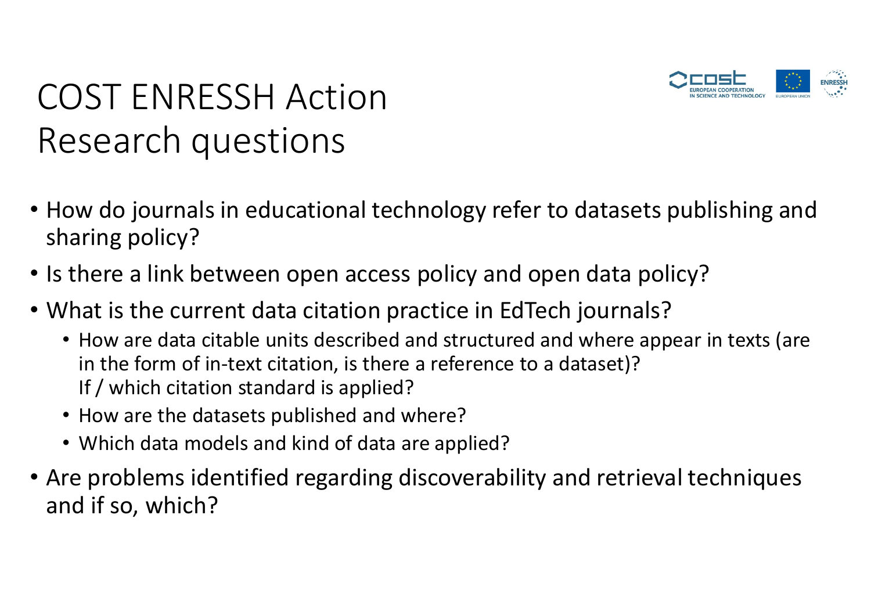

# COST ENRESSH Action COST ENRESSH Action<br>Research questions<br>How do journals in educational technology refe

- How do journals in educational technology refer to datasets publishing and sharing policy?
- Is there a link between open access policy and open data policy?
- What is the current data citation practice in EdTech journals?
	- How are data citable units described and structured and where appear in texts (are in the form of in-text citation, is there a reference to a dataset)? If / which citation standard is applied?
	- How are the datasets published and where?
	- Which data models and kind of data are applied?
- Are problems identified regarding discoverability and retrieval techniques and if so, which?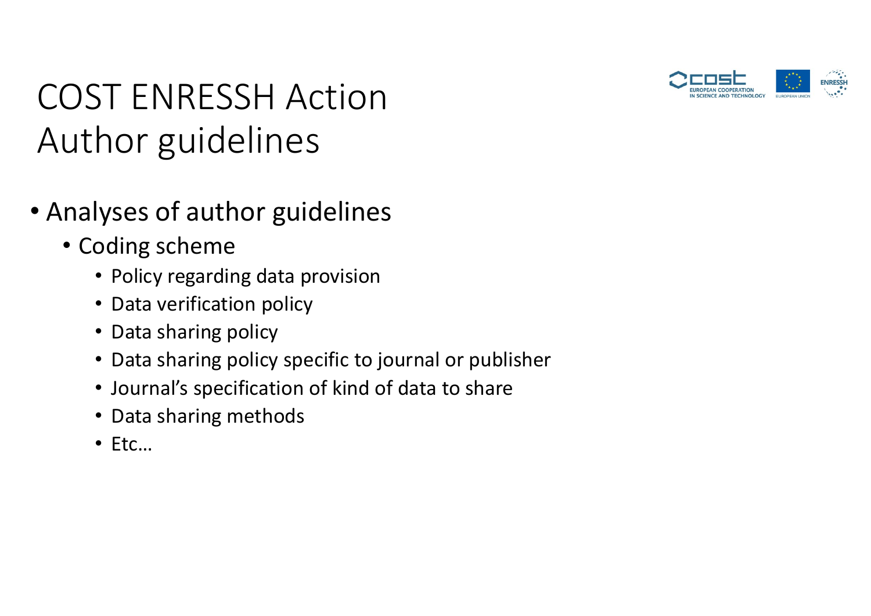

# COST ENRESSH Action COST ENRESSH Action<br>Author guidelines<br>Analyses of author guidelines

- Analyses of author guidelines
	- Coding scheme
		- Policy regarding data provision
		- Data verification policy
		- Data sharing policy
		- Data sharing policy specific to journal or publisher
		- Journal's specification of kind of data to share
		- Data sharing methods
		- Etc…